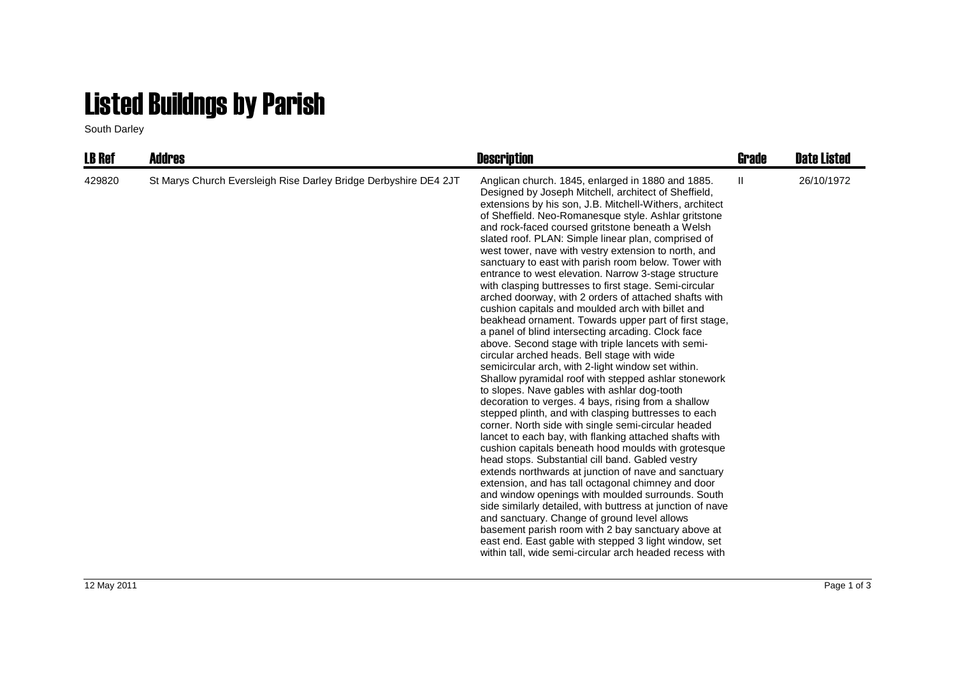## Listed Buildngs by Parish

South Darley

| <b>LB Ref</b> | Addres                                                           | <b>Description</b>                                                                                                                                                                                                                                                                                                                                                                                                                                                                                                                                                                                                                                                                                                                                                                                                                                                                                                                                                                                                                                                                                                                                                                                                                                                                                                                                                                                                                                                                                                                                                                                                                                                                                                                                                                                                                                                              | Grade        | <b>Date Listed</b> |
|---------------|------------------------------------------------------------------|---------------------------------------------------------------------------------------------------------------------------------------------------------------------------------------------------------------------------------------------------------------------------------------------------------------------------------------------------------------------------------------------------------------------------------------------------------------------------------------------------------------------------------------------------------------------------------------------------------------------------------------------------------------------------------------------------------------------------------------------------------------------------------------------------------------------------------------------------------------------------------------------------------------------------------------------------------------------------------------------------------------------------------------------------------------------------------------------------------------------------------------------------------------------------------------------------------------------------------------------------------------------------------------------------------------------------------------------------------------------------------------------------------------------------------------------------------------------------------------------------------------------------------------------------------------------------------------------------------------------------------------------------------------------------------------------------------------------------------------------------------------------------------------------------------------------------------------------------------------------------------|--------------|--------------------|
| 429820        | St Marys Church Eversleigh Rise Darley Bridge Derbyshire DE4 2JT | Anglican church. 1845, enlarged in 1880 and 1885.<br>Designed by Joseph Mitchell, architect of Sheffield,<br>extensions by his son, J.B. Mitchell-Withers, architect<br>of Sheffield. Neo-Romanesque style. Ashlar gritstone<br>and rock-faced coursed gritstone beneath a Welsh<br>slated roof. PLAN: Simple linear plan, comprised of<br>west tower, nave with vestry extension to north, and<br>sanctuary to east with parish room below. Tower with<br>entrance to west elevation. Narrow 3-stage structure<br>with clasping buttresses to first stage. Semi-circular<br>arched doorway, with 2 orders of attached shafts with<br>cushion capitals and moulded arch with billet and<br>beakhead ornament. Towards upper part of first stage,<br>a panel of blind intersecting arcading. Clock face<br>above. Second stage with triple lancets with semi-<br>circular arched heads. Bell stage with wide<br>semicircular arch, with 2-light window set within.<br>Shallow pyramidal roof with stepped ashlar stonework<br>to slopes. Nave gables with ashlar dog-tooth<br>decoration to verges. 4 bays, rising from a shallow<br>stepped plinth, and with clasping buttresses to each<br>corner. North side with single semi-circular headed<br>lancet to each bay, with flanking attached shafts with<br>cushion capitals beneath hood moulds with grotesque<br>head stops. Substantial cill band. Gabled vestry<br>extends northwards at junction of nave and sanctuary<br>extension, and has tall octagonal chimney and door<br>and window openings with moulded surrounds. South<br>side similarly detailed, with buttress at junction of nave<br>and sanctuary. Change of ground level allows<br>basement parish room with 2 bay sanctuary above at<br>east end. East gable with stepped 3 light window, set<br>within tall, wide semi-circular arch headed recess with | $\mathbf{H}$ | 26/10/1972         |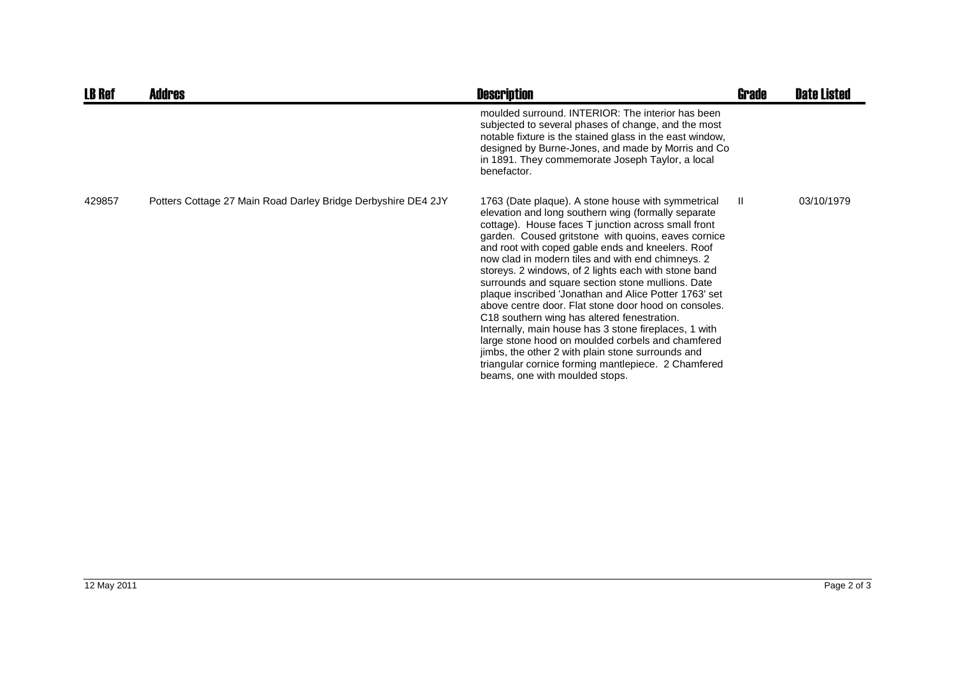| <b>LB Ref</b> | <b>Addres</b>                                                 | <b>Description</b>                                                                                                                                                                                                                                                                                                                                                                                                                                                                                                                                                                                                                                                                                                                                                                                                                                                         | Grade | <b>Date Listed</b> |
|---------------|---------------------------------------------------------------|----------------------------------------------------------------------------------------------------------------------------------------------------------------------------------------------------------------------------------------------------------------------------------------------------------------------------------------------------------------------------------------------------------------------------------------------------------------------------------------------------------------------------------------------------------------------------------------------------------------------------------------------------------------------------------------------------------------------------------------------------------------------------------------------------------------------------------------------------------------------------|-------|--------------------|
|               |                                                               | moulded surround. INTERIOR: The interior has been<br>subjected to several phases of change, and the most<br>notable fixture is the stained glass in the east window,<br>designed by Burne-Jones, and made by Morris and Co<br>in 1891. They commemorate Joseph Taylor, a local<br>benefactor.                                                                                                                                                                                                                                                                                                                                                                                                                                                                                                                                                                              |       |                    |
| 429857        | Potters Cottage 27 Main Road Darley Bridge Derbyshire DE4 2JY | 1763 (Date plaque). A stone house with symmetrical<br>elevation and long southern wing (formally separate<br>cottage). House faces T junction across small front<br>garden. Coused gritstone with quoins, eaves cornice<br>and root with coped gable ends and kneelers. Roof<br>now clad in modern tiles and with end chimneys. 2<br>storeys. 2 windows, of 2 lights each with stone band<br>surrounds and square section stone mullions. Date<br>plaque inscribed 'Jonathan and Alice Potter 1763' set<br>above centre door. Flat stone door hood on consoles.<br>C18 southern wing has altered fenestration.<br>Internally, main house has 3 stone fireplaces, 1 with<br>large stone hood on moulded corbels and chamfered<br>jimbs, the other 2 with plain stone surrounds and<br>triangular cornice forming mantlepiece. 2 Chamfered<br>beams, one with moulded stops. | Ш.    | 03/10/1979         |